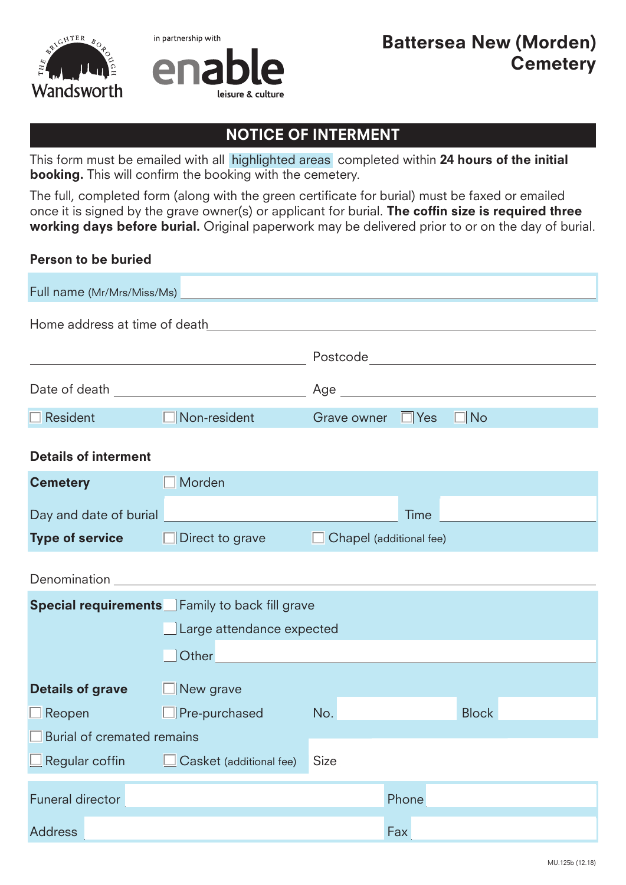



## NOTICE OF INTERMENT

This form must be emailed with all highlighted areas completed within 24 hours of the initial booking. This will confirm the booking with the cemetery.

The full, completed form (along with the green certificate for burial) must be faxed or emailed once it is signed by the grave owner(s) or applicant for burial. The coffin size is required three working days before burial. Original paperwork may be delivered prior to or on the day of burial.

## Person to be buried

| Full name (Mr/Mrs/Miss/Ms)                                                                                                                                                                                                           |                              |                         |             |                                    |  |  |  |
|--------------------------------------------------------------------------------------------------------------------------------------------------------------------------------------------------------------------------------------|------------------------------|-------------------------|-------------|------------------------------------|--|--|--|
| Home address at time of death                                                                                                                                                                                                        |                              |                         |             |                                    |  |  |  |
|                                                                                                                                                                                                                                      |                              |                         |             | Postcode__________________________ |  |  |  |
| Date of death                                                                                                                                                                                                                        |                              | Age                     |             |                                    |  |  |  |
| $\Box$ Resident                                                                                                                                                                                                                      | Non-resident<br>$\mathbf{I}$ | Grave owner $\Box$ Yes  |             | $\Box$ No                          |  |  |  |
| <b>Details of interment</b>                                                                                                                                                                                                          |                              |                         |             |                                    |  |  |  |
| <b>Cemetery</b>                                                                                                                                                                                                                      | Morden                       |                         |             |                                    |  |  |  |
| Day and date of burial                                                                                                                                                                                                               |                              |                         | <b>Time</b> |                                    |  |  |  |
| <b>Type of service D</b> Direct to grave                                                                                                                                                                                             |                              | Chapel (additional fee) |             |                                    |  |  |  |
| Denomination <b>Executive Service Service Service Service Service Service Service Service Service Service Service Service Service Service Service Service Service Service Service Service Service Service Service Service Servic</b> |                              |                         |             |                                    |  |  |  |
| <b>Special requirements</b> Family to back fill grave                                                                                                                                                                                |                              |                         |             |                                    |  |  |  |
|                                                                                                                                                                                                                                      | Large attendance expected    |                         |             |                                    |  |  |  |
|                                                                                                                                                                                                                                      | Other                        |                         |             |                                    |  |  |  |
| <b>Details of grave</b><br>$\Box$ New grave                                                                                                                                                                                          |                              |                         |             |                                    |  |  |  |
| $\Box$ Reopen                                                                                                                                                                                                                        | $\Box$ Pre-purchased         | No.                     |             | <b>Block</b>                       |  |  |  |
| Burial of cremated remains                                                                                                                                                                                                           |                              |                         |             |                                    |  |  |  |
| Regular coffin                                                                                                                                                                                                                       | Casket (additional fee)      | Size                    |             |                                    |  |  |  |
| <b>Funeral director</b>                                                                                                                                                                                                              |                              |                         | Phone       |                                    |  |  |  |
| <b>Address</b>                                                                                                                                                                                                                       |                              |                         | Fax         |                                    |  |  |  |